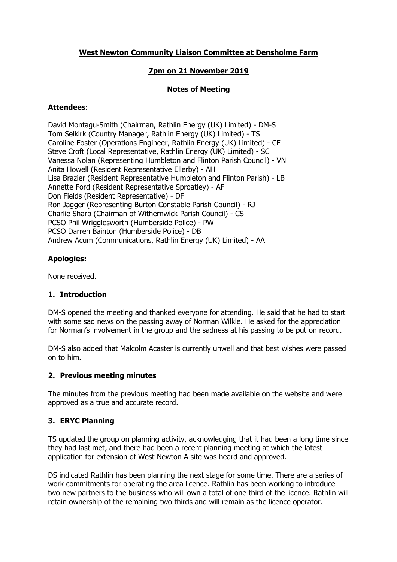# **West Newton Community Liaison Committee at Densholme Farm**

## **7pm on 21 November 2019**

# **Notes of Meeting**

#### **Attendees**:

David Montagu-Smith (Chairman, Rathlin Energy (UK) Limited) - DM-S Tom Selkirk (Country Manager, Rathlin Energy (UK) Limited) - TS Caroline Foster (Operations Engineer, Rathlin Energy (UK) Limited) - CF Steve Croft (Local Representative, Rathlin Energy (UK) Limited) - SC Vanessa Nolan (Representing Humbleton and Flinton Parish Council) - VN Anita Howell (Resident Representative Ellerby) - AH Lisa Brazier (Resident Representative Humbleton and Flinton Parish) - LB Annette Ford (Resident Representative Sproatley) - AF Don Fields (Resident Representative) - DF Ron Jagger (Representing Burton Constable Parish Council) - RJ Charlie Sharp (Chairman of Withernwick Parish Council) - CS PCSO Phil Wrigglesworth (Humberside Police) - PW PCSO Darren Bainton (Humberside Police) - DB Andrew Acum (Communications, Rathlin Energy (UK) Limited) - AA

# **Apologies:**

None received.

## **1. Introduction**

DM-S opened the meeting and thanked everyone for attending. He said that he had to start with some sad news on the passing away of Norman Wilkie. He asked for the appreciation for Norman's involvement in the group and the sadness at his passing to be put on record.

DM-S also added that Malcolm Acaster is currently unwell and that best wishes were passed on to him.

## **2. Previous meeting minutes**

The minutes from the previous meeting had been made available on the website and were approved as a true and accurate record.

## **3. ERYC Planning**

TS updated the group on planning activity, acknowledging that it had been a long time since they had last met, and there had been a recent planning meeting at which the latest application for extension of West Newton A site was heard and approved.

DS indicated Rathlin has been planning the next stage for some time. There are a series of work commitments for operating the area licence. Rathlin has been working to introduce two new partners to the business who will own a total of one third of the licence. Rathlin will retain ownership of the remaining two thirds and will remain as the licence operator.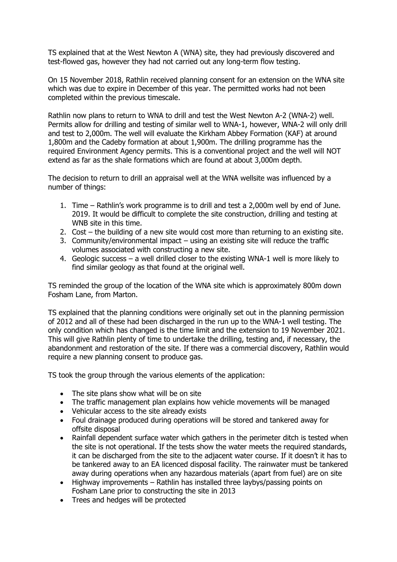TS explained that at the West Newton A (WNA) site, they had previously discovered and test-flowed gas, however they had not carried out any long-term flow testing.

On 15 November 2018, Rathlin received planning consent for an extension on the WNA site which was due to expire in December of this year. The permitted works had not been completed within the previous timescale.

Rathlin now plans to return to WNA to drill and test the West Newton A-2 (WNA-2) well. Permits allow for drilling and testing of similar well to WNA-1, however, WNA-2 will only drill and test to 2,000m. The well will evaluate the Kirkham Abbey Formation (KAF) at around 1,800m and the Cadeby formation at about 1,900m. The drilling programme has the required Environment Agency permits. This is a conventional project and the well will NOT extend as far as the shale formations which are found at about 3,000m depth.

The decision to return to drill an appraisal well at the WNA wellsite was influenced by a number of things:

- 1. Time Rathlin's work programme is to drill and test a 2,000m well by end of June. 2019. It would be difficult to complete the site construction, drilling and testing at WNB site in this time.
- 2. Cost the building of a new site would cost more than returning to an existing site.
- 3. Community/environmental impact using an existing site will reduce the traffic volumes associated with constructing a new site.
- 4. Geologic success a well drilled closer to the existing WNA-1 well is more likely to find similar geology as that found at the original well.

TS reminded the group of the location of the WNA site which is approximately 800m down Fosham Lane, from Marton.

TS explained that the planning conditions were originally set out in the planning permission of 2012 and all of these had been discharged in the run up to the WNA-1 well testing. The only condition which has changed is the time limit and the extension to 19 November 2021. This will give Rathlin plenty of time to undertake the drilling, testing and, if necessary, the abandonment and restoration of the site. If there was a commercial discovery, Rathlin would require a new planning consent to produce gas.

TS took the group through the various elements of the application:

- The site plans show what will be on site
- The traffic management plan explains how vehicle movements will be managed
- Vehicular access to the site already exists
- Foul drainage produced during operations will be stored and tankered away for offsite disposal
- Rainfall dependent surface water which gathers in the perimeter ditch is tested when the site is not operational. If the tests show the water meets the required standards, it can be discharged from the site to the adjacent water course. If it doesn't it has to be tankered away to an EA licenced disposal facility. The rainwater must be tankered away during operations when any hazardous materials (apart from fuel) are on site
- Highway improvements Rathlin has installed three laybys/passing points on Fosham Lane prior to constructing the site in 2013
- Trees and hedges will be protected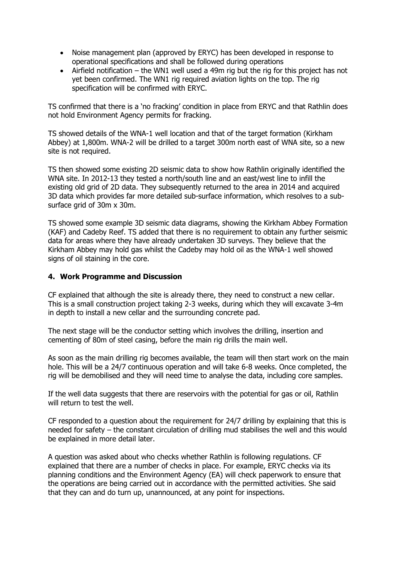- Noise management plan (approved by ERYC) has been developed in response to operational specifications and shall be followed during operations
- Airfield notification the WN1 well used a 49m rig but the rig for this project has not yet been confirmed. The WN1 rig required aviation lights on the top. The rig specification will be confirmed with ERYC.

TS confirmed that there is a 'no fracking' condition in place from ERYC and that Rathlin does not hold Environment Agency permits for fracking.

TS showed details of the WNA-1 well location and that of the target formation (Kirkham Abbey) at 1,800m. WNA-2 will be drilled to a target 300m north east of WNA site, so a new site is not required.

TS then showed some existing 2D seismic data to show how Rathlin originally identified the WNA site. In 2012-13 they tested a north/south line and an east/west line to infill the existing old grid of 2D data. They subsequently returned to the area in 2014 and acquired 3D data which provides far more detailed sub-surface information, which resolves to a subsurface grid of 30m x 30m.

TS showed some example 3D seismic data diagrams, showing the Kirkham Abbey Formation (KAF) and Cadeby Reef. TS added that there is no requirement to obtain any further seismic data for areas where they have already undertaken 3D surveys. They believe that the Kirkham Abbey may hold gas whilst the Cadeby may hold oil as the WNA-1 well showed signs of oil staining in the core.

#### **4. Work Programme and Discussion**

CF explained that although the site is already there, they need to construct a new cellar. This is a small construction project taking 2-3 weeks, during which they will excavate 3-4m in depth to install a new cellar and the surrounding concrete pad.

The next stage will be the conductor setting which involves the drilling, insertion and cementing of 80m of steel casing, before the main rig drills the main well.

As soon as the main drilling rig becomes available, the team will then start work on the main hole. This will be a 24/7 continuous operation and will take 6-8 weeks. Once completed, the rig will be demobilised and they will need time to analyse the data, including core samples.

If the well data suggests that there are reservoirs with the potential for gas or oil, Rathlin will return to test the well.

CF responded to a question about the requirement for 24/7 drilling by explaining that this is needed for safety – the constant circulation of drilling mud stabilises the well and this would be explained in more detail later.

A question was asked about who checks whether Rathlin is following regulations. CF explained that there are a number of checks in place. For example, ERYC checks via its planning conditions and the Environment Agency (EA) will check paperwork to ensure that the operations are being carried out in accordance with the permitted activities. She said that they can and do turn up, unannounced, at any point for inspections.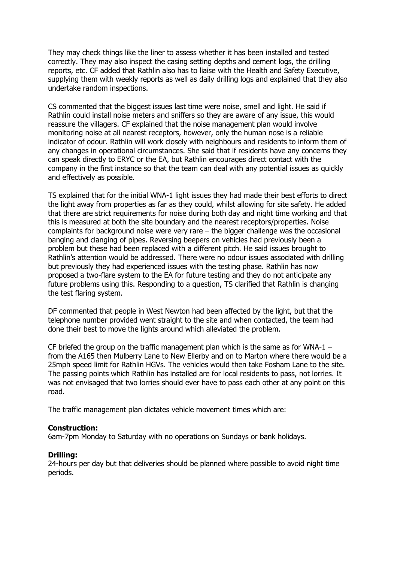They may check things like the liner to assess whether it has been installed and tested correctly. They may also inspect the casing setting depths and cement logs, the drilling reports, etc. CF added that Rathlin also has to liaise with the Health and Safety Executive, supplying them with weekly reports as well as daily drilling logs and explained that they also undertake random inspections.

CS commented that the biggest issues last time were noise, smell and light. He said if Rathlin could install noise meters and sniffers so they are aware of any issue, this would reassure the villagers. CF explained that the noise management plan would involve monitoring noise at all nearest receptors, however, only the human nose is a reliable indicator of odour. Rathlin will work closely with neighbours and residents to inform them of any changes in operational circumstances. She said that if residents have any concerns they can speak directly to ERYC or the EA, but Rathlin encourages direct contact with the company in the first instance so that the team can deal with any potential issues as quickly and effectively as possible.

TS explained that for the initial WNA-1 light issues they had made their best efforts to direct the light away from properties as far as they could, whilst allowing for site safety. He added that there are strict requirements for noise during both day and night time working and that this is measured at both the site boundary and the nearest receptors/properties. Noise complaints for background noise were very rare – the bigger challenge was the occasional banging and clanging of pipes. Reversing beepers on vehicles had previously been a problem but these had been replaced with a different pitch. He said issues brought to Rathlin's attention would be addressed. There were no odour issues associated with drilling but previously they had experienced issues with the testing phase. Rathlin has now proposed a two-flare system to the EA for future testing and they do not anticipate any future problems using this. Responding to a question, TS clarified that Rathlin is changing the test flaring system.

DF commented that people in West Newton had been affected by the light, but that the telephone number provided went straight to the site and when contacted, the team had done their best to move the lights around which alleviated the problem.

CF briefed the group on the traffic management plan which is the same as for WNA-1 – from the A165 then Mulberry Lane to New Ellerby and on to Marton where there would be a 25mph speed limit for Rathlin HGVs. The vehicles would then take Fosham Lane to the site. The passing points which Rathlin has installed are for local residents to pass, not lorries. It was not envisaged that two lorries should ever have to pass each other at any point on this road.

The traffic management plan dictates vehicle movement times which are:

#### **Construction:**

6am-7pm Monday to Saturday with no operations on Sundays or bank holidays.

#### **Drilling:**

24-hours per day but that deliveries should be planned where possible to avoid night time periods.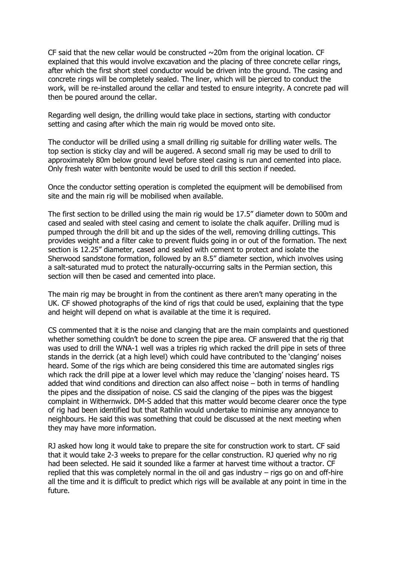CF said that the new cellar would be constructed  $\sim$ 20m from the original location. CF explained that this would involve excavation and the placing of three concrete cellar rings, after which the first short steel conductor would be driven into the ground. The casing and concrete rings will be completely sealed. The liner, which will be pierced to conduct the work, will be re-installed around the cellar and tested to ensure integrity. A concrete pad will then be poured around the cellar.

Regarding well design, the drilling would take place in sections, starting with conductor setting and casing after which the main rig would be moved onto site.

The conductor will be drilled using a small drilling rig suitable for drilling water wells. The top section is sticky clay and will be augered. A second small rig may be used to drill to approximately 80m below ground level before steel casing is run and cemented into place. Only fresh water with bentonite would be used to drill this section if needed.

Once the conductor setting operation is completed the equipment will be demobilised from site and the main rig will be mobilised when available.

The first section to be drilled using the main rig would be 17.5" diameter down to 500m and cased and sealed with steel casing and cement to isolate the chalk aquifer. Drilling mud is pumped through the drill bit and up the sides of the well, removing drilling cuttings. This provides weight and a filter cake to prevent fluids going in or out of the formation. The next section is 12.25" diameter, cased and sealed with cement to protect and isolate the Sherwood sandstone formation, followed by an 8.5" diameter section, which involves using a salt-saturated mud to protect the naturally-occurring salts in the Permian section, this section will then be cased and cemented into place.

The main rig may be brought in from the continent as there aren't many operating in the UK. CF showed photographs of the kind of rigs that could be used, explaining that the type and height will depend on what is available at the time it is required.

CS commented that it is the noise and clanging that are the main complaints and questioned whether something couldn't be done to screen the pipe area. CF answered that the rig that was used to drill the WNA-1 well was a triples rig which racked the drill pipe in sets of three stands in the derrick (at a high level) which could have contributed to the 'clanging' noises heard. Some of the rigs which are being considered this time are automated singles rigs which rack the drill pipe at a lower level which may reduce the 'clanging' noises heard. TS added that wind conditions and direction can also affect noise – both in terms of handling the pipes and the dissipation of noise. CS said the clanging of the pipes was the biggest complaint in Withernwick. DM-S added that this matter would become clearer once the type of rig had been identified but that Rathlin would undertake to minimise any annoyance to neighbours. He said this was something that could be discussed at the next meeting when they may have more information.

RJ asked how long it would take to prepare the site for construction work to start. CF said that it would take 2-3 weeks to prepare for the cellar construction. RJ queried why no rig had been selected. He said it sounded like a farmer at harvest time without a tractor. CF replied that this was completely normal in the oil and gas industry – rigs go on and off-hire all the time and it is difficult to predict which rigs will be available at any point in time in the future.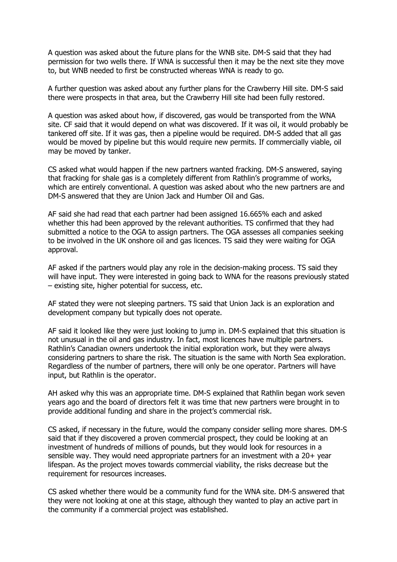A question was asked about the future plans for the WNB site. DM-S said that they had permission for two wells there. If WNA is successful then it may be the next site they move to, but WNB needed to first be constructed whereas WNA is ready to go.

A further question was asked about any further plans for the Crawberry Hill site. DM-S said there were prospects in that area, but the Crawberry Hill site had been fully restored.

A question was asked about how, if discovered, gas would be transported from the WNA site. CF said that it would depend on what was discovered. If it was oil, it would probably be tankered off site. If it was gas, then a pipeline would be required. DM-S added that all gas would be moved by pipeline but this would require new permits. If commercially viable, oil may be moved by tanker.

CS asked what would happen if the new partners wanted fracking. DM-S answered, saying that fracking for shale gas is a completely different from Rathlin's programme of works, which are entirely conventional. A question was asked about who the new partners are and DM-S answered that they are Union Jack and Humber Oil and Gas.

AF said she had read that each partner had been assigned 16.665% each and asked whether this had been approved by the relevant authorities. TS confirmed that they had submitted a notice to the OGA to assign partners. The OGA assesses all companies seeking to be involved in the UK onshore oil and gas licences. TS said they were waiting for OGA approval.

AF asked if the partners would play any role in the decision-making process. TS said they will have input. They were interested in going back to WNA for the reasons previously stated – existing site, higher potential for success, etc.

AF stated they were not sleeping partners. TS said that Union Jack is an exploration and development company but typically does not operate.

AF said it looked like they were just looking to jump in. DM-S explained that this situation is not unusual in the oil and gas industry. In fact, most licences have multiple partners. Rathlin's Canadian owners undertook the initial exploration work, but they were always considering partners to share the risk. The situation is the same with North Sea exploration. Regardless of the number of partners, there will only be one operator. Partners will have input, but Rathlin is the operator.

AH asked why this was an appropriate time. DM-S explained that Rathlin began work seven years ago and the board of directors felt it was time that new partners were brought in to provide additional funding and share in the project's commercial risk.

CS asked, if necessary in the future, would the company consider selling more shares. DM-S said that if they discovered a proven commercial prospect, they could be looking at an investment of hundreds of millions of pounds, but they would look for resources in a sensible way. They would need appropriate partners for an investment with a 20+ year lifespan. As the project moves towards commercial viability, the risks decrease but the requirement for resources increases.

CS asked whether there would be a community fund for the WNA site. DM-S answered that they were not looking at one at this stage, although they wanted to play an active part in the community if a commercial project was established.